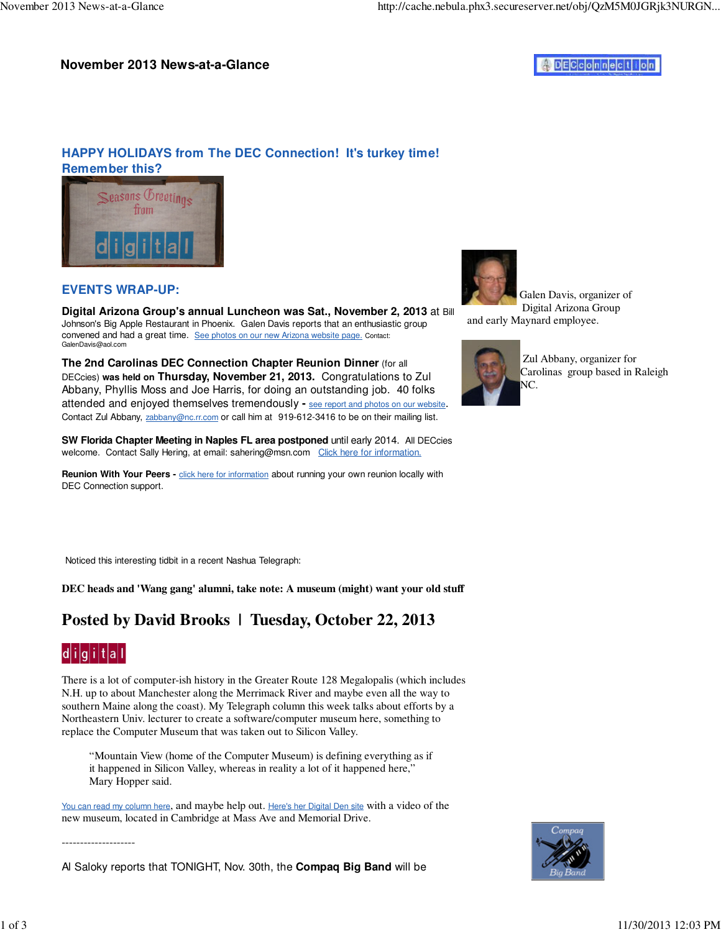#### **November 2013 News-at-a-Glance**



## **HAPPY HOLIDAYS from The DEC Connection! It's turkey time! Remember this?**



### **EVENTS WRAP-UP:**

**Digital Arizona Group's annual Luncheon was Sat., November 2, 2013** at Bill Johnson's Big Apple Restaurant in Phoenix. Galen Davis reports that an enthusiastic group convened and had a great time. See photos on our new Arizona website page. Contact: GalenDavis@aol.com

**The 2nd Carolinas DEC Connection Chapter Reunion Dinner** (for all DECcies) **was held on Thursday, November 21, 2013.** Congratulations to Zul Abbany, Phyllis Moss and Joe Harris, for doing an outstanding job. 40 folks attended and enjoyed themselves tremendously **-** see report and photos on our website. Contact Zul Abbany, zabbany@nc.rr.com or call him at 919-612-3416 to be on their mailing list.

**SW Florida Chapter Meeting in Naples FL area postponed** until early 2014. All DECcies welcome. Contact Sally Hering, at email: sahering@msn.com Click here for information.

Reunion With Your Peers - **click here for information** about running your own reunion locally with DEC Connection support.



 Galen Davis, organizer of Digital Arizona Group and early Maynard employee.



 Zul Abbany, organizer for Carolinas group based in Raleigh NC.

Noticed this interesting tidbit in a recent Nashua Telegraph:

**DEC heads and 'Wang gang' alumni, take note: A museum (might) want your old stuff**

# **Posted by David Brooks | Tuesday, October 22, 2013**



There is a lot of computer-ish history in the Greater Route 128 Megalopalis (which includes N.H. up to about Manchester along the Merrimack River and maybe even all the way to southern Maine along the coast). My Telegraph column this week talks about efforts by a Northeastern Univ. lecturer to create a software/computer museum here, something to replace the Computer Museum that was taken out to Silicon Valley.

"Mountain View (home of the Computer Museum) is defining everything as if it happened in Silicon Valley, whereas in reality a lot of it happened here," Mary Hopper said.

You can read my column here, and maybe help out. Here's her Digital Den site with a video of the new museum, located in Cambridge at Mass Ave and Memorial Drive.

--------------------

Al Saloky reports that TONIGHT, Nov. 30th, the **Compaq Big Band** will be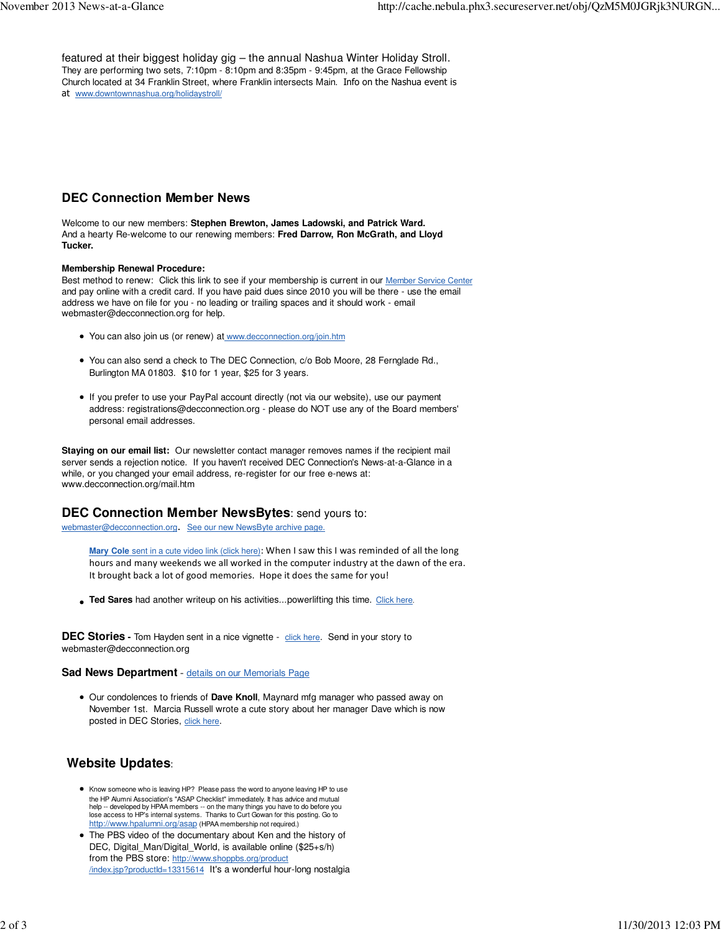featured at their biggest holiday gig – the annual Nashua Winter Holiday Stroll. They are performing two sets, 7:10pm - 8:10pm and 8:35pm - 9:45pm, at the Grace Fellowship Church located at 34 Franklin Street, where Franklin intersects Main. Info on the Nashua event is at www.downtownnashua.org/holidaystroll/

#### **DEC Connection Member News**

Welcome to our new members: **Stephen Brewton, James Ladowski, and Patrick Ward.** And a hearty Re-welcome to our renewing members: **Fred Darrow, Ron McGrath, and Lloyd Tucker.**

#### **Membership Renewal Procedure:**

Best method to renew: Click this link to see if your membership is current in our Member Service Center and pay online with a credit card. If you have paid dues since 2010 you will be there - use the email address we have on file for you - no leading or trailing spaces and it should work - email webmaster@decconnection.org for help.

- You can also join us (or renew) at www.decconnection.org/join.htm
- You can also send a check to The DEC Connection, c/o Bob Moore, 28 Fernglade Rd., Burlington MA 01803. \$10 for 1 year, \$25 for 3 years.
- If you prefer to use your PayPal account directly (not via our website), use our payment address: registrations@decconnection.org - please do NOT use any of the Board members' personal email addresses.

**Staying on our email list:** Our newsletter contact manager removes names if the recipient mail server sends a rejection notice. If you haven't received DEC Connection's News-at-a-Glance in a while, or you changed your email address, re-register for our free e-news at: www.decconnection.org/mail.htm

#### **DEC Connection Member NewsBytes**: send yours to:

webmaster@decconnection.org. See our new NewsByte archive page.

**Mary Cole** sent in a cute video link (click here): When I saw this I was reminded of all the long hours and many weekends we all worked in the computer industry at the dawn of the era. It brought back a lot of good memories. Hope it does the same for you!

**Ted Sares** had another writeup on his activities...powerlifting this time. Click here.

**DEC Stories -** Tom Hayden sent in a nice vignette - click here. Send in your story to webmaster@decconnection.org

#### **Sad News Department** - details on our Memorials Page

Our condolences to friends of **Dave Knoll**, Maynard mfg manager who passed away on November 1st. Marcia Russell wrote a cute story about her manager Dave which is now posted in DEC Stories, click here.

## **Website Updates**:

- Know someone who is leaving HP? Please pass the word to anyone leaving HP to use the HP Alumni Association's "ASAP Checklist" immediately. It has advice and mutual help -- developed by HPAA members -- on the many things you have to do before you lose access to HP's internal systems. Thanks to Curt Gowan for this posting. Go to http://www.hpalumni.org/asap (HPAA membership not required.)
- The PBS video of the documentary about Ken and the history of DEC, Digital\_Man/Digital\_World, is available online (\$25+s/h) from the PBS store: http://www.shoppbs.org/product /index.jsp?productId=13315614 It's a wonderful hour-long nostalgia